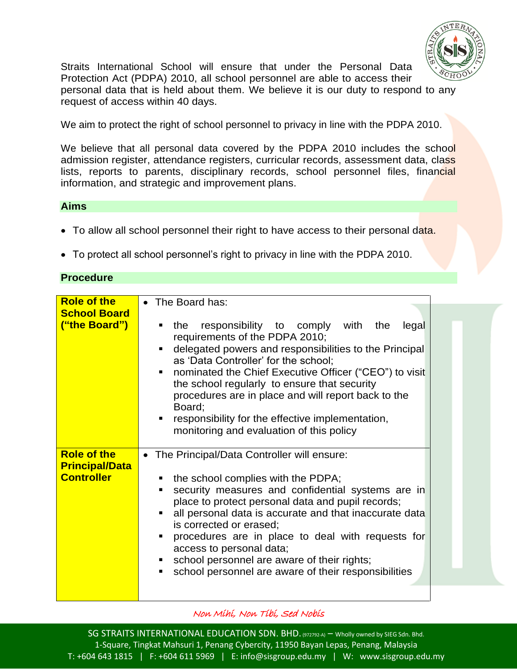

Straits International School will ensure that under the Personal Data Protection Act (PDPA) 2010, all school personnel are able to access their personal data that is held about them. We believe it is our duty to respond to any request of access within 40 days.

We aim to protect the right of school personnel to privacy in line with the PDPA 2010.

We believe that all personal data covered by the PDPA 2010 includes the school admission register, attendance registers, curricular records, assessment data, class lists, reports to parents, disciplinary records, school personnel files, financial information, and strategic and improvement plans.

## **Aims**

- To allow all school personnel their right to have access to their personal data.
- To protect all school personnel"s right to privacy in line with the PDPA 2010.

## **Procedure**

| <b>Role of the</b><br><b>School Board</b><br>("the Board")       | • The Board has:<br>responsibility to comply with the<br>the<br>legal<br>requirements of the PDPA 2010;<br>delegated powers and responsibilities to the Principal<br>as 'Data Controller' for the school;<br>• nominated the Chief Executive Officer ("CEO") to visit<br>the school regularly to ensure that security<br>procedures are in place and will report back to the<br>Board;<br>responsibility for the effective implementation,<br>٠<br>monitoring and evaluation of this policy |  |
|------------------------------------------------------------------|---------------------------------------------------------------------------------------------------------------------------------------------------------------------------------------------------------------------------------------------------------------------------------------------------------------------------------------------------------------------------------------------------------------------------------------------------------------------------------------------|--|
| <b>Role of the</b><br><b>Principal/Data</b><br><b>Controller</b> | • The Principal/Data Controller will ensure:<br>• the school complies with the PDPA;<br>security measures and confidential systems are in<br>place to protect personal data and pupil records;<br>all personal data is accurate and that inaccurate data<br>is corrected or erased;<br>• procedures are in place to deal with requests for<br>access to personal data;<br>• school personnel are aware of their rights;<br>school personnel are aware of their responsibilities             |  |

Non Mihi, Non Tibi, Sed Nobis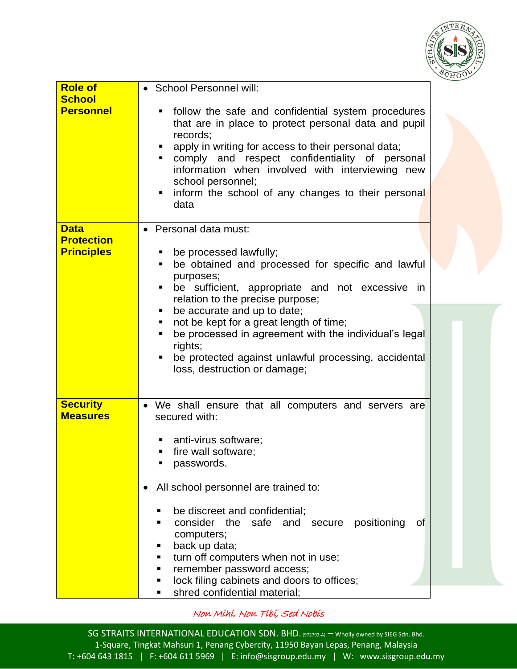

| <b>Role of</b><br><b>School</b><br><b>Personnel</b>   | • School Personnel will:<br>follow the safe and confidential system procedures<br>that are in place to protect personal data and pupil<br>records;<br>apply in writing for access to their personal data;<br>comply and respect confidentiality of personal<br>information when involved with interviewing new<br>school personnel;<br>inform the school of any changes to their personal<br>٠<br>data                                                                           |  |
|-------------------------------------------------------|----------------------------------------------------------------------------------------------------------------------------------------------------------------------------------------------------------------------------------------------------------------------------------------------------------------------------------------------------------------------------------------------------------------------------------------------------------------------------------|--|
| <b>Data</b><br><b>Protection</b><br><b>Principles</b> | Personal data must:<br>be processed lawfully;<br>be obtained and processed for specific and lawful<br>٠<br>purposes;<br>be sufficient, appropriate and not excessive in<br>relation to the precise purpose;<br>be accurate and up to date;<br>not be kept for a great length of time;<br>be processed in agreement with the individual's legal<br>rights;<br>be protected against unlawful processing, accidental<br>loss, destruction or damage;                                |  |
| <b>Security</b><br><b>Measures</b>                    | • We shall ensure that all computers and servers are<br>secured with:<br>anti-virus software;<br>fire wall software;<br>п<br>passwords.<br>All school personnel are trained to:<br>be discreet and confidential;<br>consider the<br>safe<br>positioning<br>and<br>secure<br><b>of</b><br>computers;<br>back up data;<br>turn off computers when not in use;<br>п<br>remember password access;<br>lock filing cabinets and doors to offices;<br>п<br>shred confidential material; |  |

Non Mihi, Non Tibi, Sed Nobis

SG STRAITS INTERNATIONAL EDUCATION SDN. BHD. (972792-A) – Wholly owned by SIEG Sdn. Bhd. 1-Square, Tingkat Mahsuri 1, Penang Cybercity, 11950 Bayan Lepas, Penang, Malaysia T: +604 643 1815 | F: +604 611 5969 | E: info@sisgroup.edu.my | W: www.sisgroup.edu.my